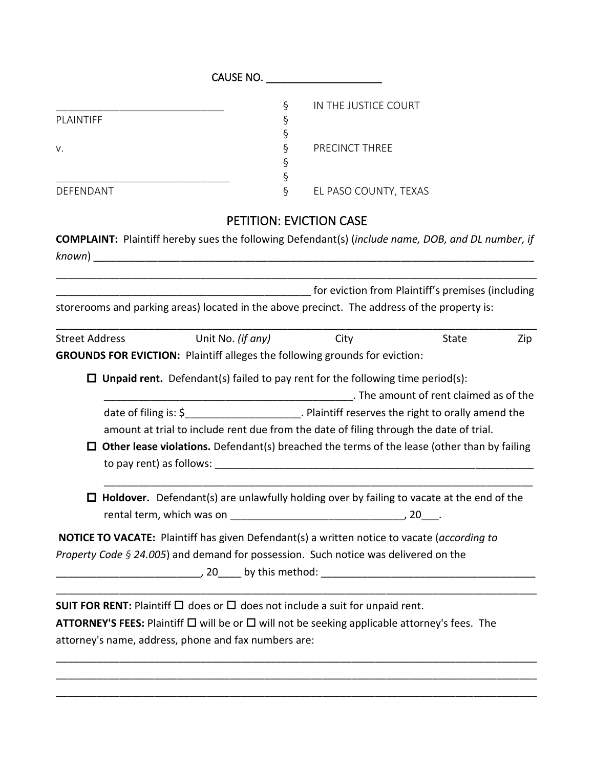|                       |                                                                                                                |        | CAUSE NO.                      |                                        |     |
|-----------------------|----------------------------------------------------------------------------------------------------------------|--------|--------------------------------|----------------------------------------|-----|
|                       |                                                                                                                | ş      | IN THE JUSTICE COURT           |                                        |     |
| PLAINTIFF             |                                                                                                                | ş      |                                |                                        |     |
|                       |                                                                                                                | ş      |                                |                                        |     |
| V.                    |                                                                                                                | Ş<br>ş | PRECINCT THREE                 |                                        |     |
|                       |                                                                                                                | Ş      |                                |                                        |     |
| DEFENDANT             |                                                                                                                | $\S$   | EL PASO COUNTY, TEXAS          |                                        |     |
|                       |                                                                                                                |        | <b>PETITION: EVICTION CASE</b> |                                        |     |
|                       | <b>COMPLAINT:</b> Plaintiff hereby sues the following Defendant(s) (include name, DOB, and DL number, if       |        |                                |                                        |     |
|                       |                                                                                                                |        |                                |                                        |     |
|                       |                                                                                                                |        |                                |                                        |     |
|                       | The eviction from Plaintiff's premises (including intervals) and the management of the contract of the evidenc |        |                                |                                        |     |
|                       | storerooms and parking areas) located in the above precinct. The address of the property is:                   |        |                                |                                        |     |
|                       |                                                                                                                |        |                                |                                        |     |
| <b>Street Address</b> | Unit No. (if any)                                                                                              |        | City                           | State                                  | Zip |
|                       | <b>GROUNDS FOR EVICTION: Plaintiff alleges the following grounds for eviction:</b>                             |        |                                |                                        |     |
|                       |                                                                                                                |        |                                |                                        |     |
|                       | $\Box$ Unpaid rent. Defendant(s) failed to pay rent for the following time period(s):                          |        |                                |                                        |     |
|                       |                                                                                                                |        |                                | . The amount of rent claimed as of the |     |
|                       | date of filing is: \$________________________. Plaintiff reserves the right to orally amend the                |        |                                |                                        |     |
|                       | amount at trial to include rent due from the date of filing through the date of trial.                         |        |                                |                                        |     |
|                       | $\Box$ Other lease violations. Defendant(s) breached the terms of the lease (other than by failing             |        |                                |                                        |     |
|                       |                                                                                                                |        |                                |                                        |     |
|                       |                                                                                                                |        |                                |                                        |     |
|                       | Holdover. Defendant(s) are unlawfully holding over by failing to vacate at the end of the                      |        |                                |                                        |     |
|                       |                                                                                                                |        |                                |                                        |     |
|                       |                                                                                                                |        |                                |                                        |     |
|                       | NOTICE TO VACATE: Plaintiff has given Defendant(s) a written notice to vacate (according to                    |        |                                |                                        |     |
|                       | Property Code § 24.005) and demand for possession. Such notice was delivered on the                            |        |                                |                                        |     |
|                       |                                                                                                                |        |                                |                                        |     |
|                       |                                                                                                                |        |                                |                                        |     |
|                       | SUIT FOR RENT: Plaintiff $\Box$ does or $\Box$ does not include a suit for unpaid rent.                        |        |                                |                                        |     |
|                       | ATTORNEY'S FEES: Plaintiff □ will be or □ will not be seeking applicable attorney's fees. The                  |        |                                |                                        |     |
|                       | attorney's name, address, phone and fax numbers are:                                                           |        |                                |                                        |     |
|                       |                                                                                                                |        |                                |                                        |     |

\_\_\_\_\_\_\_\_\_\_\_\_\_\_\_\_\_\_\_\_\_\_\_\_\_\_\_\_\_\_\_\_\_\_\_\_\_\_\_\_\_\_\_\_\_\_\_\_\_\_\_\_\_\_\_\_\_\_\_\_\_\_\_\_\_\_\_\_\_\_\_\_\_\_\_\_\_\_\_\_\_\_\_ \_\_\_\_\_\_\_\_\_\_\_\_\_\_\_\_\_\_\_\_\_\_\_\_\_\_\_\_\_\_\_\_\_\_\_\_\_\_\_\_\_\_\_\_\_\_\_\_\_\_\_\_\_\_\_\_\_\_\_\_\_\_\_\_\_\_\_\_\_\_\_\_\_\_\_\_\_\_\_\_\_\_\_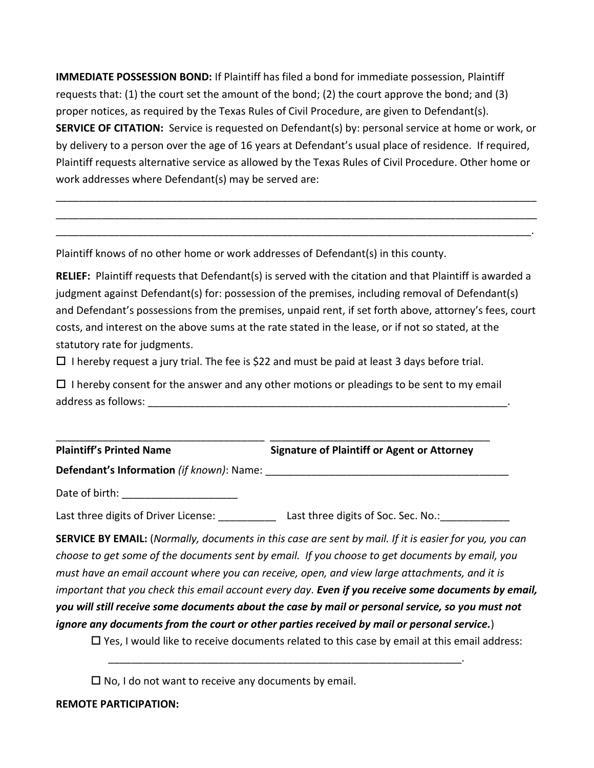**IMMEDIATE POSSESSION BOND:** If Plaintiff has filed a bond for immediate possession, Plaintiff requests that: (1) the court set the amount of the bond; (2) the court approve the bond; and (3) proper notices, as required by the Texas Rules of Civil Procedure, are given to Defendant(s). **SERVICE OF CITATION:** Service is requested on Defendant(s) by: personal service at home or work, or by delivery to a person over the age of 16 years at Defendant's usual place of residence. If required, Plaintiff requests alternative service as allowed by the Texas Rules of Civil Procedure. Other home or work addresses where Defendant(s) may be served are:

\_\_\_\_\_\_\_\_\_\_\_\_\_\_\_\_\_\_\_\_\_\_\_\_\_\_\_\_\_\_\_\_\_\_\_\_\_\_\_\_\_\_\_\_\_\_\_\_\_\_\_\_\_\_\_\_\_\_\_\_\_\_\_\_\_\_\_\_\_\_\_\_\_\_\_\_\_\_\_\_\_\_\_ \_\_\_\_\_\_\_\_\_\_\_\_\_\_\_\_\_\_\_\_\_\_\_\_\_\_\_\_\_\_\_\_\_\_\_\_\_\_\_\_\_\_\_\_\_\_\_\_\_\_\_\_\_\_\_\_\_\_\_\_\_\_\_\_\_\_\_\_\_\_\_\_\_\_\_\_\_\_\_\_\_\_\_ \_\_\_\_\_\_\_\_\_\_\_\_\_\_\_\_\_\_\_\_\_\_\_\_\_\_\_\_\_\_\_\_\_\_\_\_\_\_\_\_\_\_\_\_\_\_\_\_\_\_\_\_\_\_\_\_\_\_\_\_\_\_\_\_\_\_\_\_\_\_\_\_\_\_\_\_\_\_\_\_\_\_.

Plaintiff knows of no other home or work addresses of Defendant(s) in this county.

**RELIEF:** Plaintiff requests that Defendant(s) is served with the citation and that Plaintiff is awarded a judgment against Defendant(s) for: possession of the premises, including removal of Defendant(s) and Defendant's possessions from the premises, unpaid rent, if set forth above, attorney's fees, court costs, and interest on the above sums at the rate stated in the lease, or if not so stated, at the statutory rate for judgments.

 $\Box$  I hereby request a jury trial. The fee is \$22 and must be paid at least 3 days before trial.

 $\Box$  I hereby consent for the answer and any other motions or pleadings to be sent to my email address as follows: which is a set of the set of the set of the set of the set of the set of the set of the set of the set of the set of the set of the set of the set of the set of the set of the set of the set of the set

| <b>Plaintiff's Printed Name</b> | <b>Signature of Plaintiff or Agent or Attorney</b> |
|---------------------------------|----------------------------------------------------|

**Defendant's Information** *(if known)*: Name: \_\_\_\_\_\_\_\_\_\_\_\_\_\_\_\_\_\_\_\_\_\_\_\_\_\_\_\_\_\_\_\_\_\_\_\_\_\_\_\_\_\_

Date of birth: \_\_\_\_\_\_\_\_\_\_\_\_\_\_\_\_\_\_\_\_

Last three digits of Driver License: \_\_\_\_\_\_\_\_\_\_\_\_\_\_ Last three digits of Soc. Sec. No.: \_\_\_\_\_\_\_\_\_\_\_

**SERVICE BY EMAIL:** (*Normally, documents in this case are sent by mail. If it is easier for you, you can choose to get some of the documents sent by email. If you choose to get documents by email, you must have an email account where you can receive, open, and view large attachments, and it is important that you check this email account every day. Even if you receive some documents by email, you will still receive some documents about the case by mail or personal service, so you must not ignore any documents from the court or other parties received by mail or personal service.*)

 $\Box$  Yes, I would like to receive documents related to this case by email at this email address:

\_\_\_\_\_\_\_\_\_\_\_\_\_\_\_\_\_\_\_\_\_\_\_\_\_\_\_\_\_\_\_\_\_\_\_\_\_\_\_\_\_\_\_\_\_\_\_\_\_\_\_\_\_\_\_\_\_\_\_\_\_.

 $\square$  No, I do not want to receive any documents by email.

## **REMOTE PARTICIPATION:**